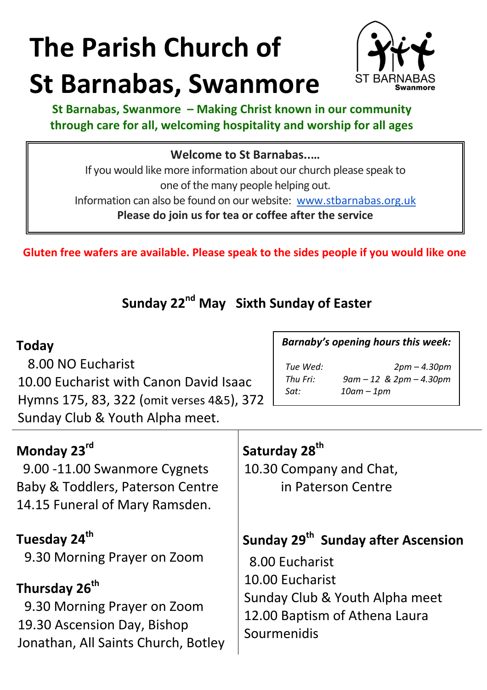# **The Parish Church of St Barnabas, Swanmore**



**St Barnabas, Swanmore – Making Christ known in our community through care for all, welcoming hospitality and worship for all ages**

#### **Welcome to St Barnabas..…**

If you would like more information about our church please speak to one of the many people helping out. Information can also be found on our website: [www.stbarnabas.org.uk](http://www.stbarnabas.org.uk/)

**Please do join us for tea or coffee after the service**

**Gluten free wafers are available. Please speak to the sides people if you would like one**

# **Sunday 22nd May Sixth Sunday of Easter**

| <b>Today</b><br>8.00 NO Eucharist<br>10.00 Eucharist with Canon David Isaac<br>Hymns 175, 83, 322 (omit verses 4&5), 372<br>Sunday Club & Youth Alpha meet.                               | Tue Wed:<br>Thu Fri:<br>Sat:                     | Barnaby's opening hours this week:<br>$2pm - 4.30pm$<br>$9am - 12$ & $2pm - 4.30pm$<br>$10$ am – $1$ pm           |
|-------------------------------------------------------------------------------------------------------------------------------------------------------------------------------------------|--------------------------------------------------|-------------------------------------------------------------------------------------------------------------------|
| Monday 23rd<br>9.00 -11.00 Swanmore Cygnets<br>Baby & Toddlers, Paterson Centre<br>14.15 Funeral of Mary Ramsden.                                                                         | Saturday 28 <sup>th</sup>                        | 10.30 Company and Chat,<br>in Paterson Centre                                                                     |
| Tuesday 24 <sup>th</sup><br>9.30 Morning Prayer on Zoom<br>Thursday 26 <sup>th</sup><br>9.30 Morning Prayer on Zoom<br>19.30 Ascension Day, Bishop<br>Jonathan, All Saints Church, Botley | 8.00 Eucharist<br>10.00 Eucharist<br>Sourmenidis | Sunday 29 <sup>th</sup> Sunday after Ascension<br>Sunday Club & Youth Alpha meet<br>12.00 Baptism of Athena Laura |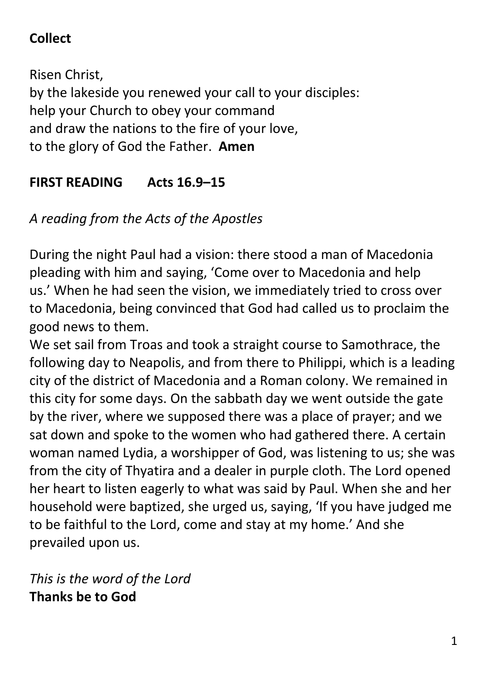# **Collect**

Risen Christ, by the lakeside you renewed your call to your disciples: help your Church to obey your command and draw the nations to the fire of your love, to the glory of God the Father. **Amen**

# **FIRST READING Acts 16.9–15**

# *A reading from the Acts of the Apostles*

During the night Paul had a vision: there stood a man of Macedonia pleading with him and saying, 'Come over to Macedonia and help us.' When he had seen the vision, we immediately tried to cross over to Macedonia, being convinced that God had called us to proclaim the good news to them.

We set sail from Troas and took a straight course to Samothrace, the following day to Neapolis, and from there to Philippi, which is a leading city of the district of Macedonia and a Roman colony. We remained in this city for some days. On the sabbath day we went outside the gate by the river, where we supposed there was a place of prayer; and we sat down and spoke to the women who had gathered there. A certain woman named Lydia, a worshipper of God, was listening to us; she was from the city of Thyatira and a dealer in purple cloth. The Lord opened her heart to listen eagerly to what was said by Paul. When she and her household were baptized, she urged us, saying, 'If you have judged me to be faithful to the Lord, come and stay at my home.' And she prevailed upon us.

*This is the word of the Lord* **Thanks be to God**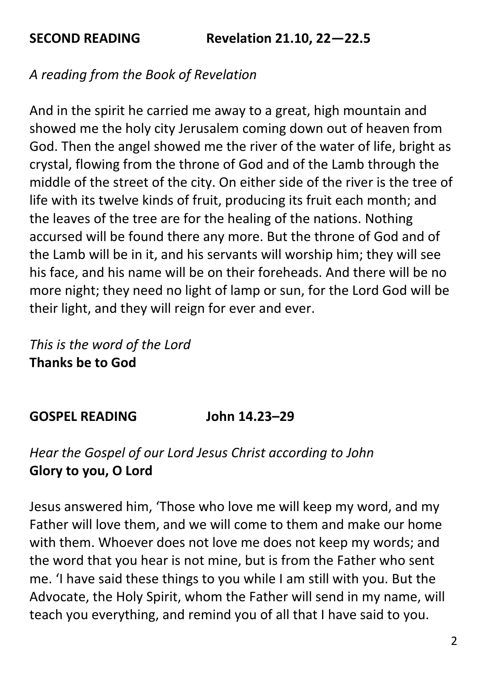# *A reading from the Book of Revelation*

And in the spirit he carried me away to a great, high mountain and showed me the holy city Jerusalem coming down out of heaven from God. Then the angel showed me the river of the water of life, bright as crystal, flowing from the throne of God and of the Lamb through the middle of the street of the city. On either side of the river is the tree of life with its twelve kinds of fruit, producing its fruit each month; and the leaves of the tree are for the healing of the nations. Nothing accursed will be found there any more. But the throne of God and of the Lamb will be in it, and his servants will worship him; they will see his face, and his name will be on their foreheads. And there will be no more night; they need no light of lamp or sun, for the Lord God will be their light, and they will reign for ever and ever.

*This is the word of the Lord* **Thanks be to God**

#### **GOSPEL READING John 14.23–29**

### *Hear the Gospel of our Lord Jesus Christ according to John* **Glory to you, O Lord**

Jesus answered him, 'Those who love me will keep my word, and my Father will love them, and we will come to them and make our home with them. Whoever does not love me does not keep my words; and the word that you hear is not mine, but is from the Father who sent me. 'I have said these things to you while I am still with you. But the Advocate, the Holy Spirit, whom the Father will send in my name, will teach you everything, and remind you of all that I have said to you.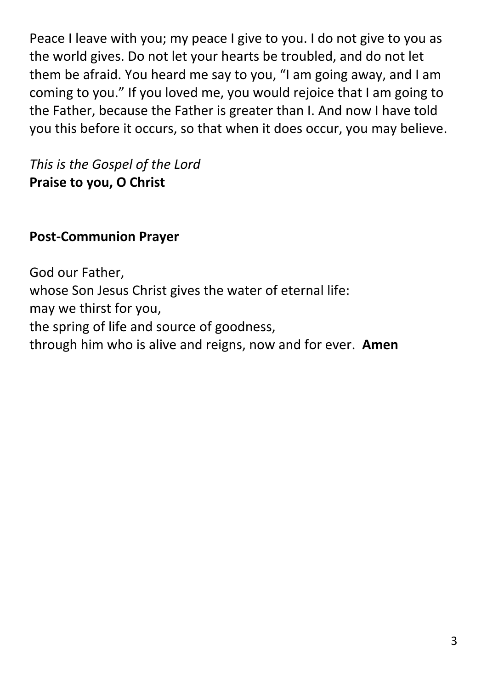Peace I leave with you; my peace I give to you. I do not give to you as the world gives. Do not let your hearts be troubled, and do not let them be afraid. You heard me say to you, "I am going away, and I am coming to you." If you loved me, you would rejoice that I am going to the Father, because the Father is greater than I. And now I have told you this before it occurs, so that when it does occur, you may believe.

*This is the Gospel of the Lord* **Praise to you, O Christ**

#### **Post-Communion Prayer**

God our Father, whose Son Jesus Christ gives the water of eternal life: may we thirst for you, the spring of life and source of goodness, through him who is alive and reigns, now and for ever. **Amen**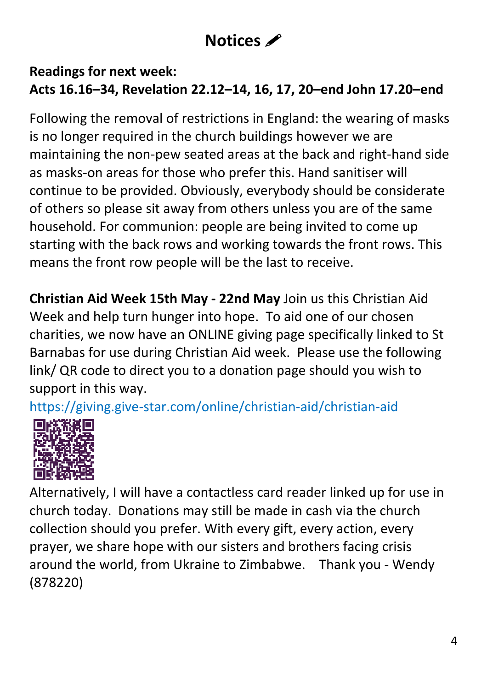# **Notices**

### **Readings for next week: Acts 16.16–34, Revelation 22.12–14, 16, 17, 20–end John 17.20–end**

Following the removal of restrictions in England: the wearing of masks is no longer required in the church buildings however we are maintaining the non-pew seated areas at the back and right-hand side as masks-on areas for those who prefer this. Hand sanitiser will continue to be provided. Obviously, everybody should be considerate of others so please sit away from others unless you are of the same household. For communion: people are being invited to come up starting with the back rows and working towards the front rows. This means the front row people will be the last to receive.

**Christian Aid Week 15th May - 22nd May** Join us this Christian Aid Week and help turn hunger into hope. To aid one of our chosen charities, we now have an ONLINE giving page specifically linked to St Barnabas for use during Christian Aid week. Please use the following link/ QR code to direct you to a donation page should you wish to support in this way.

<https://giving.give-star.com/online/christian-aid/christian-aid>



Alternatively, I will have a contactless card reader linked up for use in church today. Donations may still be made in cash via the church collection should you prefer. With every gift, every action, every prayer, we share hope with our sisters and brothers facing crisis around the world, from Ukraine to Zimbabwe. Thank you - Wendy (878220)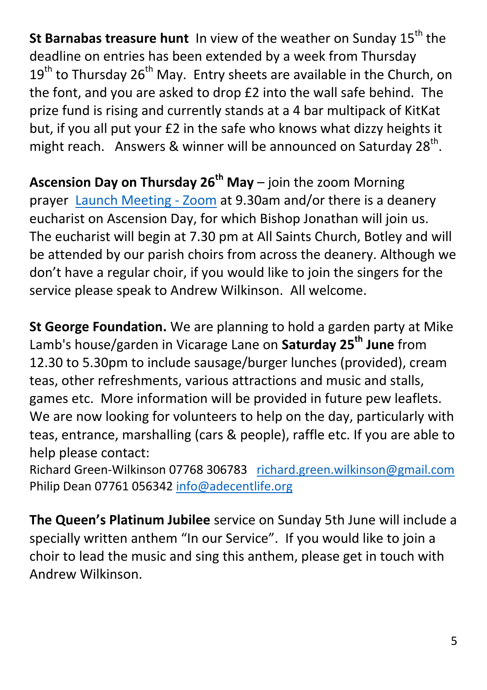**St Barnabas treasure hunt** In view of the weather on Sunday 15<sup>th</sup> the deadline on entries has been extended by a week from Thursday  $19<sup>th</sup>$  to Thursday 26<sup>th</sup> May. Entry sheets are available in the Church, on the font, and you are asked to drop £2 into the wall safe behind. The prize fund is rising and currently stands at a 4 bar multipack of KitKat but, if you all put your £2 in the safe who knows what dizzy heights it might reach. Answers & winner will be announced on Saturday 28<sup>th</sup>.

**Ascension Day on Thursday 26th May** – join the zoom Morning prayer [Launch Meeting -](https://us04web.zoom.us/j/72100025193?pwd=RyLvYHvAfkwydzCb2Q4iE6oM7JMQvp.1#success) Zoom at 9.30am and/or there is a deanery eucharist on Ascension Day, for which Bishop Jonathan will join us. The eucharist will begin at 7.30 pm at All Saints Church, Botley and will be attended by our parish choirs from across the deanery. Although we don't have a regular choir, if you would like to join the singers for the service please speak to Andrew Wilkinson. All welcome.

**St George Foundation.** We are planning to hold a garden party at Mike Lamb's house/garden in Vicarage Lane on **Saturday 25th June** from 12.30 to 5.30pm to include sausage/burger lunches (provided), cream teas, other refreshments, various attractions and music and stalls, games etc. More information will be provided in future pew leaflets. We are now looking for volunteers to help on the day, particularly with teas, entrance, marshalling (cars & people), raffle etc. If you are able to help please contact:

Richard Green-Wilkinson 07768 306783 [richard.green.wilkinson@gmail.com](mailto:richard.green.wilkinson@gmail.com) Philip Dean 07761 056342 [info@adecentlife.org](mailto:info@adecentlife.org)

**The Queen's Platinum Jubilee** service on Sunday 5th June will include a specially written anthem "In our Service". If you would like to join a choir to lead the music and sing this anthem, please get in touch with Andrew Wilkinson.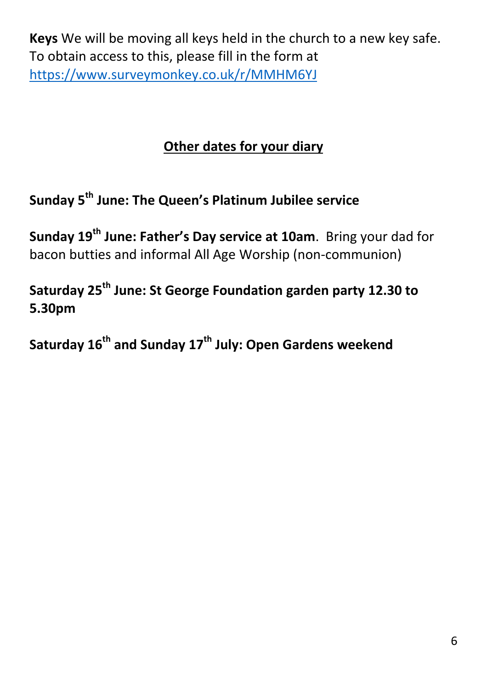**Keys** We will be moving all keys held in the church to a new key safe. To obtain access to this, please fill in the form at <https://www.surveymonkey.co.uk/r/MMHM6YJ>

# **Other dates for your diary**

**Sunday 5th June: The Queen's Platinum Jubilee service** 

**Sunday 19th June: Father's Day service at 10am**. Bring your dad for bacon butties and informal All Age Worship (non-communion)

**Saturday 25th June: St George Foundation garden party 12.30 to 5.30pm**

**Saturday 16th and Sunday 17th July: Open Gardens weekend**